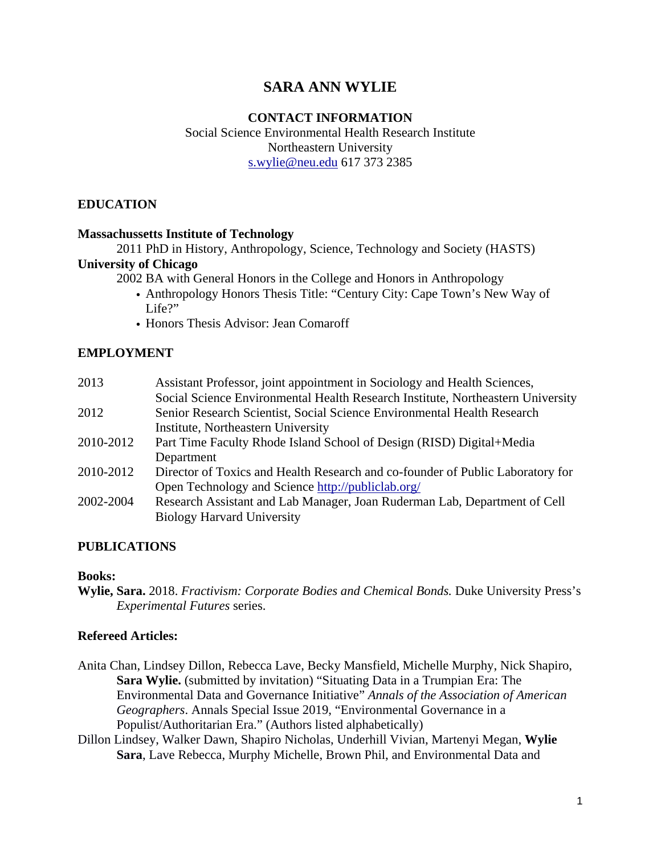# **SARA ANN WYLIE**

#### **CONTACT INFORMATION**

Social Science Environmental Health Research Institute Northeastern University s.wylie@neu.edu 617 373 2385

### **EDUCATION**

#### **Massachussetts Institute of Technology**

2011 PhD in History, Anthropology, Science, Technology and Society (HASTS)

# **University of Chicago**

2002 BA with General Honors in the College and Honors in Anthropology

- Anthropology Honors Thesis Title: "Century City: Cape Town's New Way of Life?"
- Honors Thesis Advisor: Jean Comaroff

#### **EMPLOYMENT**

| 2013      | Assistant Professor, joint appointment in Sociology and Health Sciences,        |
|-----------|---------------------------------------------------------------------------------|
|           | Social Science Environmental Health Research Institute, Northeastern University |
| 2012      | Senior Research Scientist, Social Science Environmental Health Research         |
|           | Institute, Northeastern University                                              |
| 2010-2012 | Part Time Faculty Rhode Island School of Design (RISD) Digital+Media            |
|           | Department                                                                      |
| 2010-2012 | Director of Toxics and Health Research and co-founder of Public Laboratory for  |
|           | Open Technology and Science http://publiclab.org/                               |
| 2002-2004 | Research Assistant and Lab Manager, Joan Ruderman Lab, Department of Cell       |
|           | <b>Biology Harvard University</b>                                               |

#### **PUBLICATIONS**

#### **Books:**

**Wylie, Sara.** 2018. *Fractivism: Corporate Bodies and Chemical Bonds.* Duke University Press's *Experimental Futures* series.

#### **Refereed Articles:**

- Anita Chan, Lindsey Dillon, Rebecca Lave, Becky Mansfield, Michelle Murphy, Nick Shapiro, **Sara Wylie.** (submitted by invitation) "Situating Data in a Trumpian Era: The Environmental Data and Governance Initiative" *Annals of the Association of American Geographers*. Annals Special Issue 2019, "Environmental Governance in a Populist/Authoritarian Era." (Authors listed alphabetically)
- Dillon Lindsey, Walker Dawn, Shapiro Nicholas, Underhill Vivian, Martenyi Megan, **Wylie Sara**, Lave Rebecca, Murphy Michelle, Brown Phil, and Environmental Data and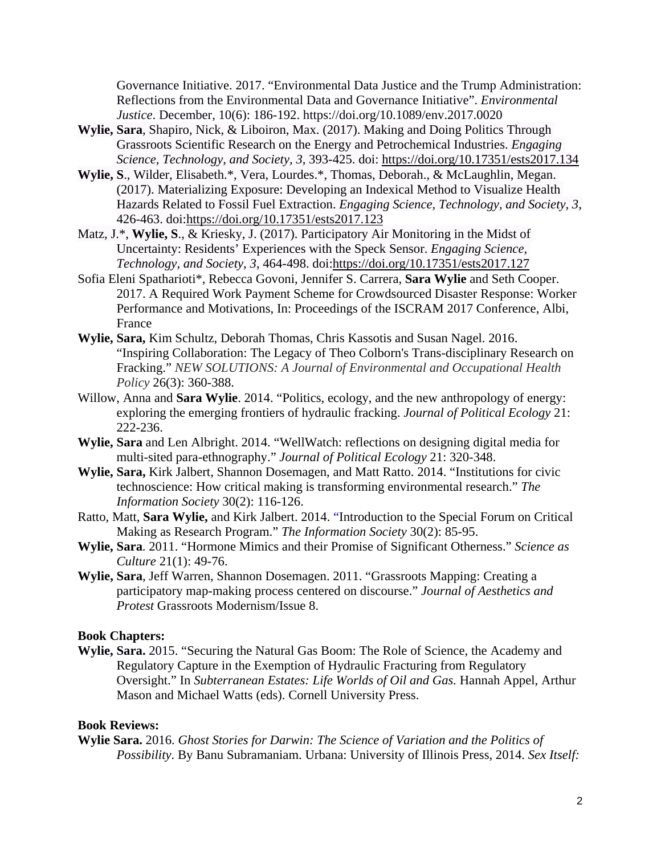Governance Initiative. 2017. "Environmental Data Justice and the Trump Administration: Reflections from the Environmental Data and Governance Initiative". *Environmental Justice*. December, 10(6): 186-192. https://doi.org/10.1089/env.2017.0020

- **Wylie, Sara**, Shapiro, Nick, & Liboiron, Max. (2017). Making and Doing Politics Through Grassroots Scientific Research on the Energy and Petrochemical Industries. *Engaging Science, Technology, and Society, 3*, 393-425. doi: https://doi.org/10.17351/ests2017.134
- **Wylie, S**., Wilder, Elisabeth.\*, Vera, Lourdes.\*, Thomas, Deborah., & McLaughlin, Megan. (2017). Materializing Exposure: Developing an Indexical Method to Visualize Health Hazards Related to Fossil Fuel Extraction. *Engaging Science, Technology, and Society, 3*, 426-463. doi:https://doi.org/10.17351/ests2017.123
- Matz, J.\*, **Wylie, S**., & Kriesky, J. (2017). Participatory Air Monitoring in the Midst of Uncertainty: Residents' Experiences with the Speck Sensor. *Engaging Science, Technology, and Society, 3*, 464-498. doi:https://doi.org/10.17351/ests2017.127
- Sofia Eleni Spatharioti\*, Rebecca Govoni, Jennifer S. Carrera, **Sara Wylie** and Seth Cooper. 2017. A Required Work Payment Scheme for Crowdsourced Disaster Response: Worker Performance and Motivations, In: Proceedings of the ISCRAM 2017 Conference, Albi, France
- **Wylie, Sara,** Kim Schultz, Deborah Thomas, Chris Kassotis and Susan Nagel. 2016. "Inspiring Collaboration: The Legacy of Theo Colborn's Trans-disciplinary Research on Fracking." *NEW SOLUTIONS: A Journal of Environmental and Occupational Health Policy* 26(3): 360-388.
- Willow, Anna and **Sara Wylie**. 2014. "Politics, ecology, and the new anthropology of energy: exploring the emerging frontiers of hydraulic fracking. *Journal of Political Ecology* 21: 222-236.
- **Wylie, Sara** and Len Albright. 2014. "WellWatch: reflections on designing digital media for multi-sited para-ethnography." *Journal of Political Ecology* 21: 320-348.
- **Wylie, Sara,** Kirk Jalbert, Shannon Dosemagen, and Matt Ratto. 2014. "Institutions for civic technoscience: How critical making is transforming environmental research." *The Information Society* 30(2): 116-126.
- Ratto, Matt, **Sara Wylie,** and Kirk Jalbert. 2014. "Introduction to the Special Forum on Critical Making as Research Program." *The Information Society* 30(2): 85-95.
- **Wylie, Sara**. 2011. "Hormone Mimics and their Promise of Significant Otherness." *Science as Culture* 21(1): 49-76.
- **Wylie, Sara**, Jeff Warren, Shannon Dosemagen. 2011. "Grassroots Mapping: Creating a participatory map-making process centered on discourse." *Journal of Aesthetics and Protest* Grassroots Modernism/Issue 8.

#### **Book Chapters:**

**Wylie, Sara.** 2015. "Securing the Natural Gas Boom: The Role of Science, the Academy and Regulatory Capture in the Exemption of Hydraulic Fracturing from Regulatory Oversight." In *Subterranean Estates: Life Worlds of Oil and Gas.* Hannah Appel, Arthur Mason and Michael Watts (eds). Cornell University Press.

#### **Book Reviews:**

**Wylie Sara.** 2016. *Ghost Stories for Darwin: The Science of Variation and the Politics of Possibility*. By Banu Subramaniam. Urbana: University of Illinois Press, 2014. *Sex Itself:*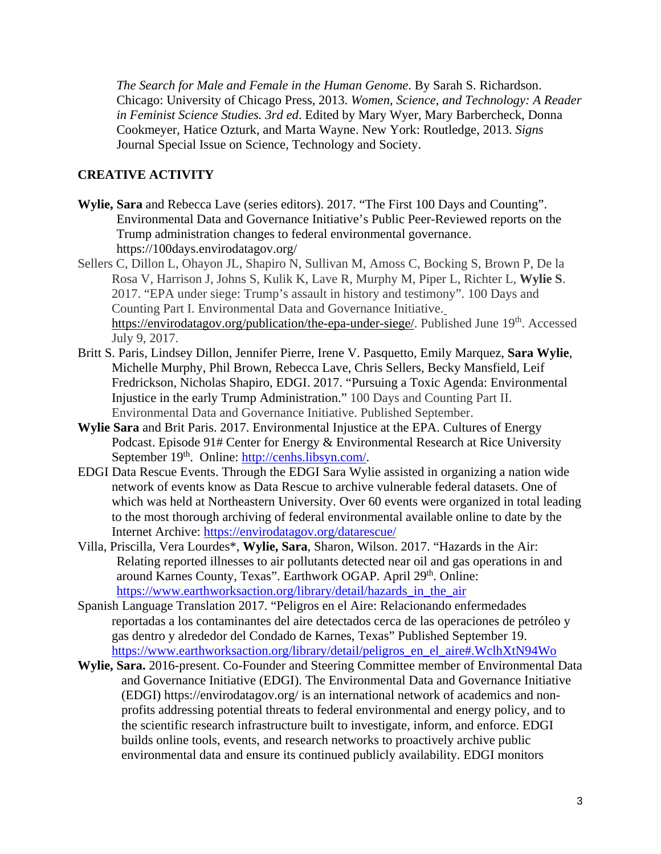*The Search for Male and Female in the Human Genome*. By Sarah S. Richardson. Chicago: University of Chicago Press, 2013. *Women, Science, and Technology: A Reader in Feminist Science Studies. 3rd ed*. Edited by Mary Wyer, Mary Barbercheck, Donna Cookmeyer, Hatice Ozturk, and Marta Wayne. New York: Routledge, 2013. *Signs* Journal Special Issue on Science, Technology and Society.

### **CREATIVE ACTIVITY**

- **Wylie, Sara** and Rebecca Lave (series editors). 2017. "The First 100 Days and Counting". Environmental Data and Governance Initiative's Public Peer-Reviewed reports on the Trump administration changes to federal environmental governance. https://100days.envirodatagov.org/
- Sellers C, Dillon L, Ohayon JL, Shapiro N, Sullivan M, Amoss C, Bocking S, Brown P, De la Rosa V, Harrison J, Johns S, Kulik K, Lave R, Murphy M, Piper L, Richter L, **Wylie S**. 2017. "EPA under siege: Trump's assault in history and testimony". 100 Days and Counting Part I. Environmental Data and Governance Initiative. https://envirodatagov.org/publication/the-epa-under-siege/. Published June 19<sup>th</sup>. Accessed July 9, 2017.
- Britt S. Paris, Lindsey Dillon, Jennifer Pierre, Irene V. Pasquetto, Emily Marquez, **Sara Wylie**, Michelle Murphy, Phil Brown, Rebecca Lave, Chris Sellers, Becky Mansfield, Leif Fredrickson, Nicholas Shapiro, EDGI. 2017. "Pursuing a Toxic Agenda: Environmental Injustice in the early Trump Administration." 100 Days and Counting Part II. Environmental Data and Governance Initiative. Published September.
- **Wylie Sara** and Brit Paris. 2017. Environmental Injustice at the EPA. Cultures of Energy Podcast. Episode 91# Center for Energy & Environmental Research at Rice University September 19<sup>th</sup>. Online: http://cenhs.libsyn.com/.
- EDGI Data Rescue Events. Through the EDGI Sara Wylie assisted in organizing a nation wide network of events know as Data Rescue to archive vulnerable federal datasets. One of which was held at Northeastern University. Over 60 events were organized in total leading to the most thorough archiving of federal environmental available online to date by the Internet Archive: https://envirodatagov.org/datarescue/
- Villa, Priscilla, Vera Lourdes\*, **Wylie, Sara**, Sharon, Wilson. 2017. "Hazards in the Air: Relating reported illnesses to air pollutants detected near oil and gas operations in and around Karnes County, Texas". Earthwork OGAP. April 29<sup>th</sup>. Online: https://www.earthworksaction.org/library/detail/hazards\_in\_the\_air
- Spanish Language Translation 2017. "Peligros en el Aire: Relacionando enfermedades reportadas a los contaminantes del aire detectados cerca de las operaciones de petróleo y gas dentro y alrededor del Condado de Karnes, Texas" Published September 19. https://www.earthworksaction.org/library/detail/peligros\_en\_el\_aire#.WclhXtN94Wo
- **Wylie, Sara.** 2016-present. Co-Founder and Steering Committee member of Environmental Data and Governance Initiative (EDGI). The Environmental Data and Governance Initiative (EDGI) https://envirodatagov.org/ is an international network of academics and nonprofits addressing potential threats to federal environmental and energy policy, and to the scientific research infrastructure built to investigate, inform, and enforce. EDGI builds online tools, events, and research networks to proactively archive public environmental data and ensure its continued publicly availability. EDGI monitors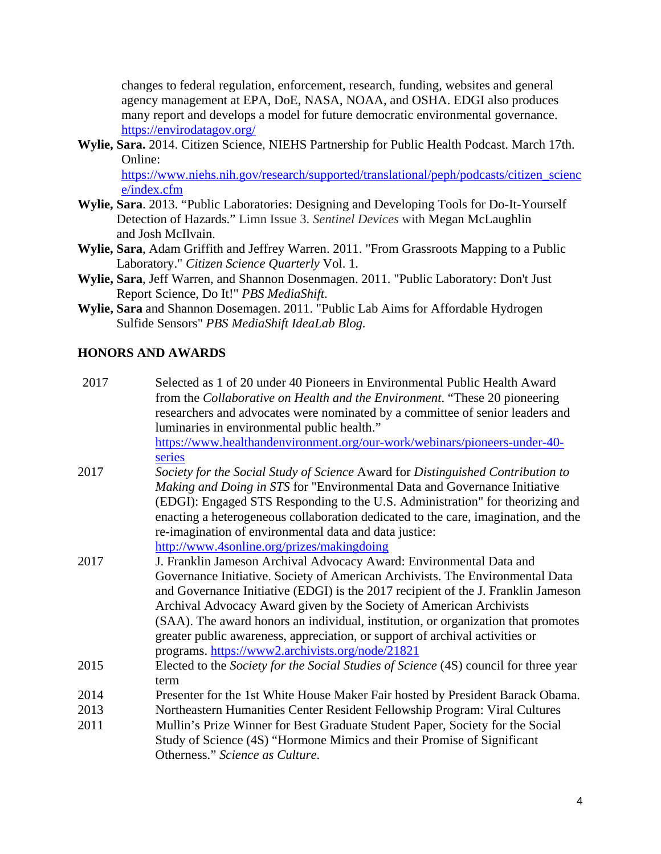changes to federal regulation, enforcement, research, funding, websites and general agency management at EPA, DoE, NASA, NOAA, and OSHA. EDGI also produces many report and develops a model for future democratic environmental governance. https://envirodatagov.org/

**Wylie, Sara.** 2014. Citizen Science, NIEHS Partnership for Public Health Podcast. March 17th. Online:

https://www.niehs.nih.gov/research/supported/translational/peph/podcasts/citizen\_scienc e/index.cfm

- **Wylie, Sara**. 2013. "Public Laboratories: Designing and Developing Tools for Do-It-Yourself Detection of Hazards." Limn Issue 3. *Sentinel Devices* with Megan McLaughlin and Josh McIlvain.
- **Wylie, Sara**, Adam Griffith and Jeffrey Warren. 2011. "From Grassroots Mapping to a Public Laboratory." *Citizen Science Quarterly* Vol. 1.
- **Wylie, Sara**, Jeff Warren, and Shannon Dosenmagen. 2011. "Public Laboratory: Don't Just Report Science, Do It!" *PBS MediaShift*.
- **Wylie, Sara** and Shannon Dosemagen. 2011. "Public Lab Aims for Affordable Hydrogen Sulfide Sensors" *PBS MediaShift IdeaLab Blog.*

### **HONORS AND AWARDS**

| 2017 | Selected as 1 of 20 under 40 Pioneers in Environmental Public Health Award<br>from the Collaborative on Health and the Environment. "These 20 pioneering<br>researchers and advocates were nominated by a committee of senior leaders and |
|------|-------------------------------------------------------------------------------------------------------------------------------------------------------------------------------------------------------------------------------------------|
|      | luminaries in environmental public health."                                                                                                                                                                                               |
|      | https://www.healthandenvironment.org/our-work/webinars/pioneers-under-40-                                                                                                                                                                 |
|      | series                                                                                                                                                                                                                                    |
| 2017 | Society for the Social Study of Science Award for Distinguished Contribution to                                                                                                                                                           |
|      | Making and Doing in STS for "Environmental Data and Governance Initiative                                                                                                                                                                 |
|      | (EDGI): Engaged STS Responding to the U.S. Administration" for theorizing and                                                                                                                                                             |
|      | enacting a heterogeneous collaboration dedicated to the care, imagination, and the                                                                                                                                                        |
|      | re-imagination of environmental data and data justice:                                                                                                                                                                                    |
|      | http://www.4sonline.org/prizes/makingdoing                                                                                                                                                                                                |
| 2017 | J. Franklin Jameson Archival Advocacy Award: Environmental Data and                                                                                                                                                                       |
|      | Governance Initiative. Society of American Archivists. The Environmental Data                                                                                                                                                             |
|      | and Governance Initiative (EDGI) is the 2017 recipient of the J. Franklin Jameson                                                                                                                                                         |
|      | Archival Advocacy Award given by the Society of American Archivists                                                                                                                                                                       |
|      | (SAA). The award honors an individual, institution, or organization that promotes                                                                                                                                                         |
|      | greater public awareness, appreciation, or support of archival activities or                                                                                                                                                              |
|      | programs. https://www2.archivists.org/node/21821                                                                                                                                                                                          |
| 2015 | Elected to the Society for the Social Studies of Science (4S) council for three year                                                                                                                                                      |
|      | term                                                                                                                                                                                                                                      |
| 2014 | Presenter for the 1st White House Maker Fair hosted by President Barack Obama.                                                                                                                                                            |
| 2013 | Northeastern Humanities Center Resident Fellowship Program: Viral Cultures                                                                                                                                                                |
| 2011 | Mullin's Prize Winner for Best Graduate Student Paper, Society for the Social                                                                                                                                                             |
|      | Study of Science (4S) "Hormone Mimics and their Promise of Significant                                                                                                                                                                    |
|      | Otherness." Science as Culture.                                                                                                                                                                                                           |
|      |                                                                                                                                                                                                                                           |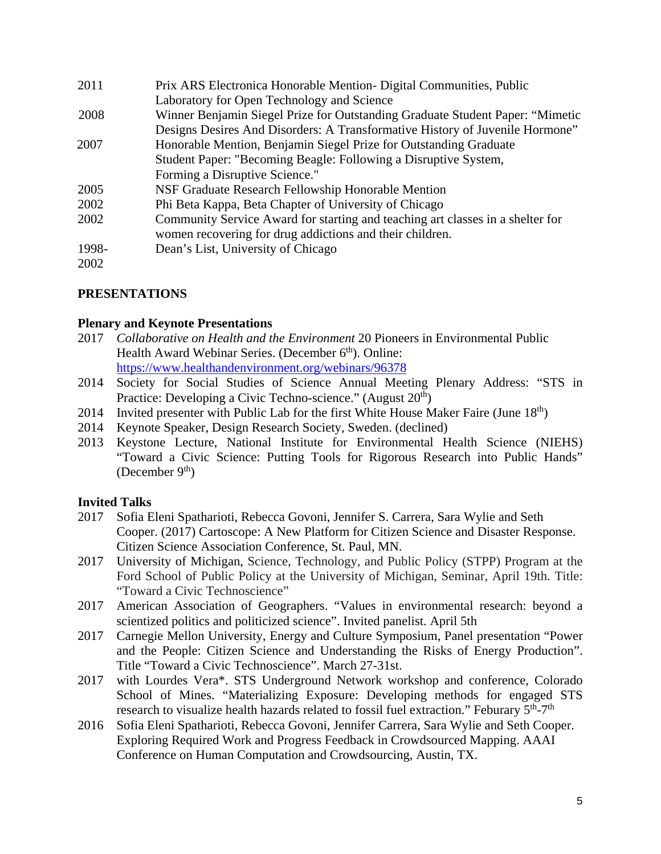| 2011  | Prix ARS Electronica Honorable Mention- Digital Communities, Public            |
|-------|--------------------------------------------------------------------------------|
|       | Laboratory for Open Technology and Science                                     |
| 2008  | Winner Benjamin Siegel Prize for Outstanding Graduate Student Paper: "Mimetic  |
|       | Designs Desires And Disorders: A Transformative History of Juvenile Hormone"   |
| 2007  | Honorable Mention, Benjamin Siegel Prize for Outstanding Graduate              |
|       | Student Paper: "Becoming Beagle: Following a Disruptive System,                |
|       | Forming a Disruptive Science."                                                 |
| 2005  | NSF Graduate Research Fellowship Honorable Mention                             |
| 2002  | Phi Beta Kappa, Beta Chapter of University of Chicago                          |
| 2002  | Community Service Award for starting and teaching art classes in a shelter for |
|       | women recovering for drug addictions and their children.                       |
| 1998- | Dean's List, University of Chicago                                             |
| 2002  |                                                                                |

### **PRESENTATIONS**

#### **Plenary and Keynote Presentations**

- 2017 *Collaborative on Health and the Environment* 20 Pioneers in Environmental Public Health Award Webinar Series. (December 6<sup>th</sup>). Online: https://www.healthandenvironment.org/webinars/96378
- 2014 Society for Social Studies of Science Annual Meeting Plenary Address: "STS in Practice: Developing a Civic Techno-science." (August 20<sup>th</sup>)
- 2014 Invited presenter with Public Lab for the first White House Maker Faire (June  $18<sup>th</sup>$ )
- 2014 Keynote Speaker, Design Research Society, Sweden. (declined)
- 2013 Keystone Lecture, National Institute for Environmental Health Science (NIEHS) "Toward a Civic Science: Putting Tools for Rigorous Research into Public Hands" (December  $9<sup>th</sup>$ )

### **Invited Talks**

- 2017 Sofia Eleni Spatharioti, Rebecca Govoni, Jennifer S. Carrera, Sara Wylie and Seth Cooper. (2017) Cartoscope: A New Platform for Citizen Science and Disaster Response. Citizen Science Association Conference, St. Paul, MN.
- 2017 University of Michigan, Science, Technology, and Public Policy (STPP) Program at the Ford School of Public Policy at the University of Michigan, Seminar, April 19th. Title: "Toward a Civic Technoscience"
- 2017 American Association of Geographers. "Values in environmental research: beyond a scientized politics and politicized science". Invited panelist. April 5th
- 2017 Carnegie Mellon University, Energy and Culture Symposium, Panel presentation "Power and the People: Citizen Science and Understanding the Risks of Energy Production". Title "Toward a Civic Technoscience". March 27-31st.
- 2017 with Lourdes Vera\*. STS Underground Network workshop and conference, Colorado School of Mines. "Materializing Exposure: Developing methods for engaged STS research to visualize health hazards related to fossil fuel extraction." Feburary 5<sup>th</sup>-7<sup>th</sup>
- 2016 Sofia Eleni Spatharioti, Rebecca Govoni, Jennifer Carrera, Sara Wylie and Seth Cooper. Exploring Required Work and Progress Feedback in Crowdsourced Mapping. AAAI Conference on Human Computation and Crowdsourcing, Austin, TX.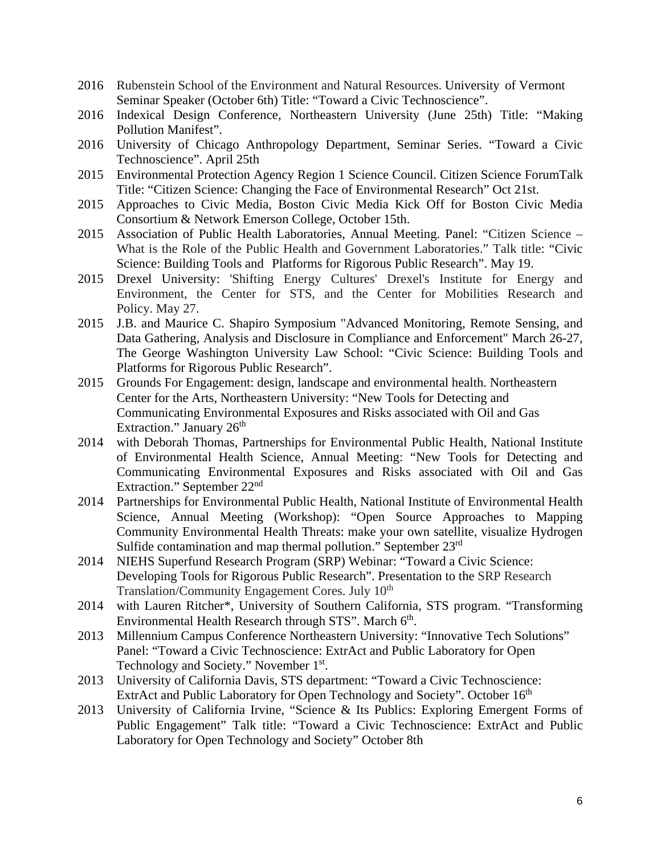- 2016 Rubenstein School of the Environment and Natural Resources. University of Vermont Seminar Speaker (October 6th) Title: "Toward a Civic Technoscience".
- 2016 Indexical Design Conference, Northeastern University (June 25th) Title: "Making Pollution Manifest".
- 2016 University of Chicago Anthropology Department, Seminar Series. "Toward a Civic Technoscience". April 25th
- 2015 Environmental Protection Agency Region 1 Science Council. Citizen Science ForumTalk Title: "Citizen Science: Changing the Face of Environmental Research" Oct 21st.
- 2015 Approaches to Civic Media, Boston Civic Media Kick Off for Boston Civic Media Consortium & Network Emerson College, October 15th.
- 2015 Association of Public Health Laboratories, Annual Meeting. Panel: "Citizen Science What is the Role of the Public Health and Government Laboratories." Talk title: "Civic Science: Building Tools and Platforms for Rigorous Public Research". May 19.
- 2015 Drexel University: 'Shifting Energy Cultures' Drexel's Institute for Energy and Environment, the Center for STS, and the Center for Mobilities Research and Policy. May 27.
- 2015 J.B. and Maurice C. Shapiro Symposium "Advanced Monitoring, Remote Sensing, and Data Gathering, Analysis and Disclosure in Compliance and Enforcement" March 26-27, The George Washington University Law School: "Civic Science: Building Tools and Platforms for Rigorous Public Research".
- 2015 Grounds For Engagement: design, landscape and environmental health. Northeastern Center for the Arts, Northeastern University: "New Tools for Detecting and Communicating Environmental Exposures and Risks associated with Oil and Gas Extraction." January  $26<sup>th</sup>$
- 2014 with Deborah Thomas, Partnerships for Environmental Public Health, National Institute of Environmental Health Science, Annual Meeting: "New Tools for Detecting and Communicating Environmental Exposures and Risks associated with Oil and Gas Extraction." September 22<sup>nd</sup>
- 2014 Partnerships for Environmental Public Health, National Institute of Environmental Health Science, Annual Meeting (Workshop): "Open Source Approaches to Mapping Community Environmental Health Threats: make your own satellite, visualize Hydrogen Sulfide contamination and map thermal pollution." September 23rd
- 2014 NIEHS Superfund Research Program (SRP) Webinar: "Toward a Civic Science: Developing Tools for Rigorous Public Research". Presentation to the SRP Research Translation/Community Engagement Cores. July 10<sup>th</sup>
- 2014 with Lauren Ritcher\*, University of Southern California, STS program. "Transforming Environmental Health Research through STS". March 6<sup>th</sup>.
- 2013 Millennium Campus Conference Northeastern University: "Innovative Tech Solutions" Panel: "Toward a Civic Technoscience: ExtrAct and Public Laboratory for Open Technology and Society." November 1<sup>st</sup>.
- 2013 University of California Davis, STS department: "Toward a Civic Technoscience: ExtrAct and Public Laboratory for Open Technology and Society". October 16<sup>th</sup>
- 2013 University of California Irvine, "Science & Its Publics: Exploring Emergent Forms of Public Engagement" Talk title: "Toward a Civic Technoscience: ExtrAct and Public Laboratory for Open Technology and Society" October 8th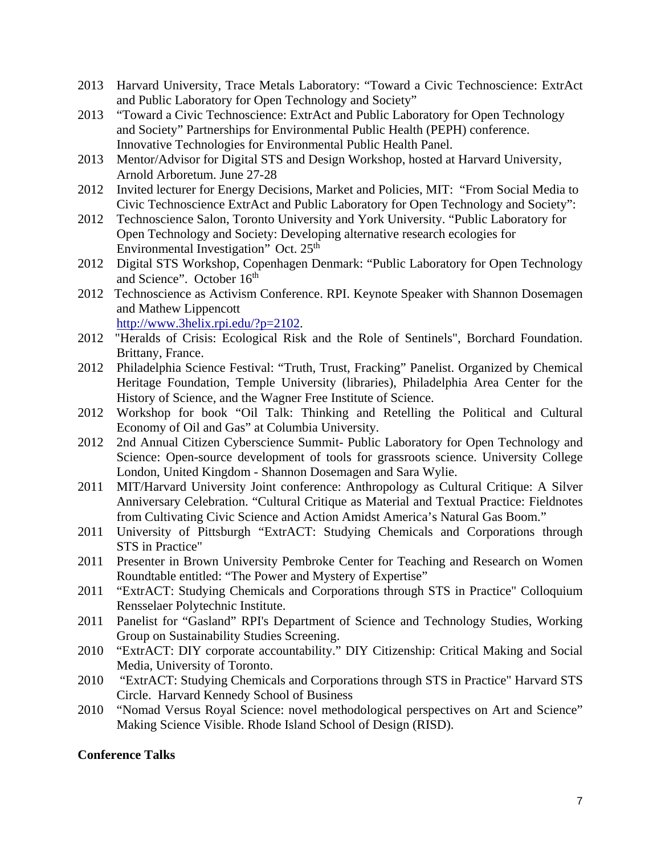- 2013 Harvard University, Trace Metals Laboratory: "Toward a Civic Technoscience: ExtrAct and Public Laboratory for Open Technology and Society"
- 2013 "Toward a Civic Technoscience: ExtrAct and Public Laboratory for Open Technology and Society" Partnerships for Environmental Public Health (PEPH) conference. Innovative Technologies for Environmental Public Health Panel.
- 2013 Mentor/Advisor for Digital STS and Design Workshop, hosted at Harvard University, Arnold Arboretum. June 27-28
- 2012 Invited lecturer for Energy Decisions, Market and Policies, MIT: "From Social Media to Civic Technoscience ExtrAct and Public Laboratory for Open Technology and Society":
- 2012 Technoscience Salon, Toronto University and York University. "Public Laboratory for Open Technology and Society: Developing alternative research ecologies for Environmental Investigation" Oct. 25<sup>th</sup>
- 2012 Digital STS Workshop, Copenhagen Denmark: "Public Laboratory for Open Technology and Science". October 16<sup>th</sup>
- 2012 Technoscience as Activism Conference. RPI. Keynote Speaker with Shannon Dosemagen and Mathew Lippencott http://www.3helix.rpi.edu/?p=2102.
- 2012 "Heralds of Crisis: Ecological Risk and the Role of Sentinels", Borchard Foundation. Brittany, France.
- 2012 Philadelphia Science Festival: "Truth, Trust, Fracking" Panelist. Organized by Chemical Heritage Foundation, Temple University (libraries), Philadelphia Area Center for the History of Science, and the Wagner Free Institute of Science.
- 2012 Workshop for book "Oil Talk: Thinking and Retelling the Political and Cultural Economy of Oil and Gas" at Columbia University.
- 2012 2nd Annual Citizen Cyberscience Summit- Public Laboratory for Open Technology and Science: Open-source development of tools for grassroots science. University College London, United Kingdom - Shannon Dosemagen and Sara Wylie.
- 2011 MIT/Harvard University Joint conference: Anthropology as Cultural Critique: A Silver Anniversary Celebration. "Cultural Critique as Material and Textual Practice: Fieldnotes from Cultivating Civic Science and Action Amidst America's Natural Gas Boom."
- 2011 University of Pittsburgh "ExtrACT: Studying Chemicals and Corporations through STS in Practice"
- 2011 Presenter in Brown University Pembroke Center for Teaching and Research on Women Roundtable entitled: "The Power and Mystery of Expertise"
- 2011 "ExtrACT: Studying Chemicals and Corporations through STS in Practice" Colloquium Rensselaer Polytechnic Institute.
- 2011 Panelist for "Gasland" RPI's Department of Science and Technology Studies, Working Group on Sustainability Studies Screening.
- 2010 "ExtrACT: DIY corporate accountability." DIY Citizenship: Critical Making and Social Media, University of Toronto.
- 2010 "ExtrACT: Studying Chemicals and Corporations through STS in Practice" Harvard STS Circle. Harvard Kennedy School of Business
- 2010 "Nomad Versus Royal Science: novel methodological perspectives on Art and Science" Making Science Visible. Rhode Island School of Design (RISD).

### **Conference Talks**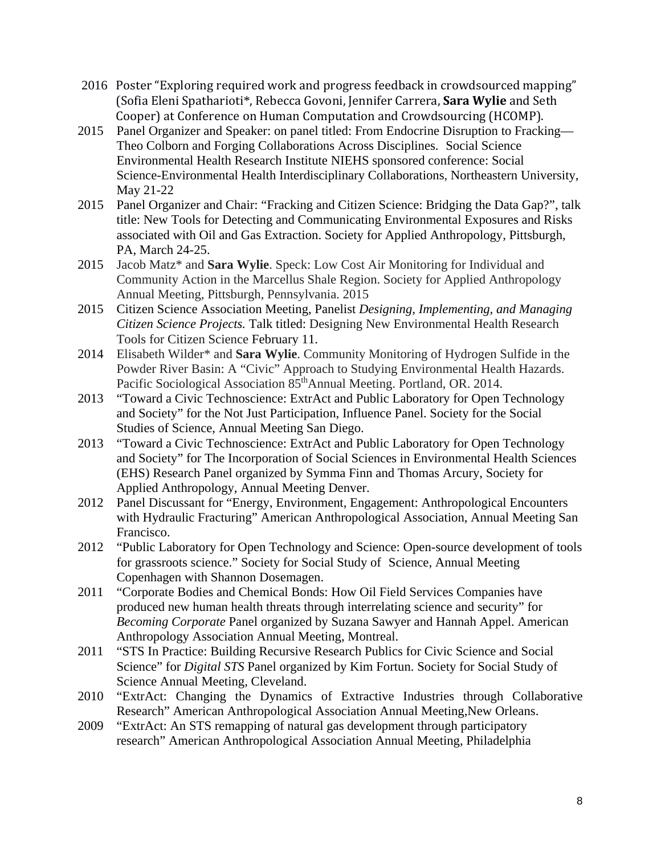- 2016 Poster "Exploring required work and progress feedback in crowdsourced mapping" (Sofia Eleni Spatharioti\*, Rebecca Govoni, Jennifer Carrera, **Sara Wylie** and Seth Cooper) at Conference on Human Computation and Crowdsourcing (HCOMP).
- 2015 Panel Organizer and Speaker: on panel titled: From Endocrine Disruption to Fracking— Theo Colborn and Forging Collaborations Across Disciplines. Social Science Environmental Health Research Institute NIEHS sponsored conference: Social Science-Environmental Health Interdisciplinary Collaborations, Northeastern University, May 21-22
- 2015 Panel Organizer and Chair: "Fracking and Citizen Science: Bridging the Data Gap?", talk title: New Tools for Detecting and Communicating Environmental Exposures and Risks associated with Oil and Gas Extraction. Society for Applied Anthropology, Pittsburgh, PA, March 24-25.
- 2015 Jacob Matz\* and **Sara Wylie**. Speck: Low Cost Air Monitoring for Individual and Community Action in the Marcellus Shale Region. Society for Applied Anthropology Annual Meeting, Pittsburgh, Pennsylvania. 2015
- 2015 Citizen Science Association Meeting, Panelist *Designing, Implementing, and Managing Citizen Science Projects.* Talk titled: Designing New Environmental Health Research Tools for Citizen Science February 11.
- 2014 Elisabeth Wilder\* and **Sara Wylie**. Community Monitoring of Hydrogen Sulfide in the Powder River Basin: A "Civic" Approach to Studying Environmental Health Hazards. Pacific Sociological Association 85<sup>th</sup>Annual Meeting. Portland, OR. 2014.
- 2013 "Toward a Civic Technoscience: ExtrAct and Public Laboratory for Open Technology and Society" for the Not Just Participation, Influence Panel. Society for the Social Studies of Science, Annual Meeting San Diego.
- 2013 "Toward a Civic Technoscience: ExtrAct and Public Laboratory for Open Technology and Society" for The Incorporation of Social Sciences in Environmental Health Sciences (EHS) Research Panel organized by Symma Finn and Thomas Arcury, Society for Applied Anthropology, Annual Meeting Denver.
- 2012 Panel Discussant for "Energy, Environment, Engagement: Anthropological Encounters with Hydraulic Fracturing" American Anthropological Association, Annual Meeting San Francisco.
- 2012 "Public Laboratory for Open Technology and Science: Open-source development of tools for grassroots science." Society for Social Study of Science, Annual Meeting Copenhagen with Shannon Dosemagen.
- 2011 "Corporate Bodies and Chemical Bonds: How Oil Field Services Companies have produced new human health threats through interrelating science and security" for *Becoming Corporate* Panel organized by Suzana Sawyer and Hannah Appel. American Anthropology Association Annual Meeting, Montreal.
- 2011 "STS In Practice: Building Recursive Research Publics for Civic Science and Social Science" for *Digital STS* Panel organized by Kim Fortun. Society for Social Study of Science Annual Meeting, Cleveland.
- 2010 "ExtrAct: Changing the Dynamics of Extractive Industries through Collaborative Research" American Anthropological Association Annual Meeting,New Orleans.
- 2009 "ExtrAct: An STS remapping of natural gas development through participatory research" American Anthropological Association Annual Meeting, Philadelphia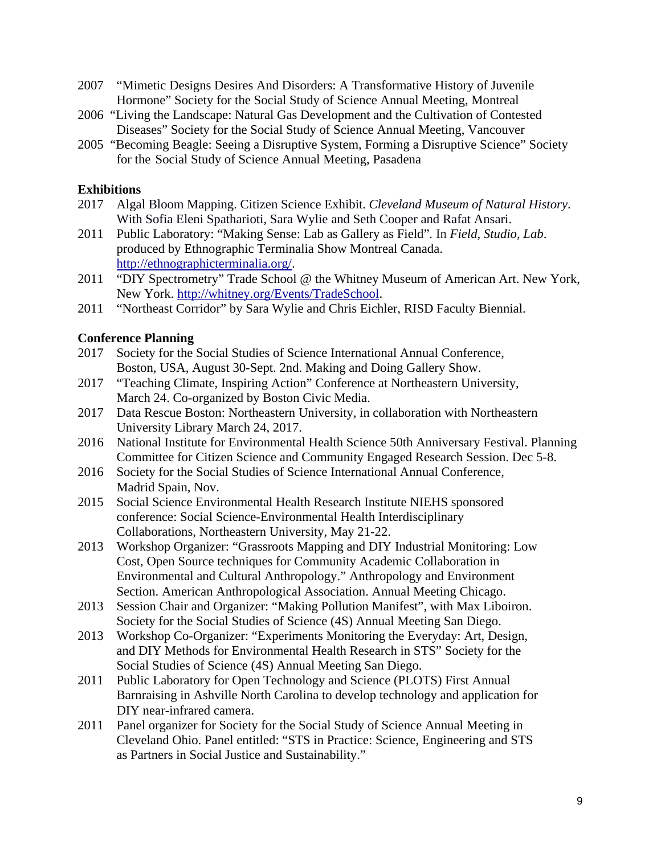- 2007 "Mimetic Designs Desires And Disorders: A Transformative History of Juvenile Hormone" Society for the Social Study of Science Annual Meeting, Montreal
- 2006 "Living the Landscape: Natural Gas Development and the Cultivation of Contested Diseases" Society for the Social Study of Science Annual Meeting, Vancouver
- 2005 "Becoming Beagle: Seeing a Disruptive System, Forming a Disruptive Science" Society for the Social Study of Science Annual Meeting, Pasadena

### **Exhibitions**

- 2017 Algal Bloom Mapping. Citizen Science Exhibit. *Cleveland Museum of Natural History*. With Sofia Eleni Spatharioti, Sara Wylie and Seth Cooper and Rafat Ansari.
- 2011 Public Laboratory: "Making Sense: Lab as Gallery as Field"*.* In *Field, Studio, Lab*. produced by Ethnographic Terminalia Show Montreal Canada. http://ethnographicterminalia.org/.
- 2011 "DIY Spectrometry" Trade School @ the Whitney Museum of American Art. New York, New York. http://whitney.org/Events/TradeSchool.
- 2011 "Northeast Corridor" by Sara Wylie and Chris Eichler, RISD Faculty Biennial.

### **Conference Planning**

- 2017 Society for the Social Studies of Science International Annual Conference, Boston, USA, August 30-Sept. 2nd. Making and Doing Gallery Show.
- 2017 "Teaching Climate, Inspiring Action" Conference at Northeastern University, March 24. Co-organized by Boston Civic Media.
- 2017 Data Rescue Boston: Northeastern University, in collaboration with Northeastern University Library March 24, 2017.
- 2016 National Institute for Environmental Health Science 50th Anniversary Festival. Planning Committee for Citizen Science and Community Engaged Research Session. Dec 5-8.
- 2016 Society for the Social Studies of Science International Annual Conference, Madrid Spain, Nov.
- 2015 Social Science Environmental Health Research Institute NIEHS sponsored conference: Social Science-Environmental Health Interdisciplinary Collaborations, Northeastern University, May 21-22.
- 2013 Workshop Organizer: "Grassroots Mapping and DIY Industrial Monitoring: Low Cost, Open Source techniques for Community Academic Collaboration in Environmental and Cultural Anthropology." Anthropology and Environment Section. American Anthropological Association. Annual Meeting Chicago.
- 2013 Session Chair and Organizer: "Making Pollution Manifest", with Max Liboiron. Society for the Social Studies of Science (4S) Annual Meeting San Diego.
- 2013 Workshop Co-Organizer: "Experiments Monitoring the Everyday: Art, Design, and DIY Methods for Environmental Health Research in STS" Society for the Social Studies of Science (4S) Annual Meeting San Diego.
- 2011 Public Laboratory for Open Technology and Science (PLOTS) First Annual Barnraising in Ashville North Carolina to develop technology and application for DIY near-infrared camera.
- 2011 Panel organizer for Society for the Social Study of Science Annual Meeting in Cleveland Ohio. Panel entitled: "STS in Practice: Science, Engineering and STS as Partners in Social Justice and Sustainability."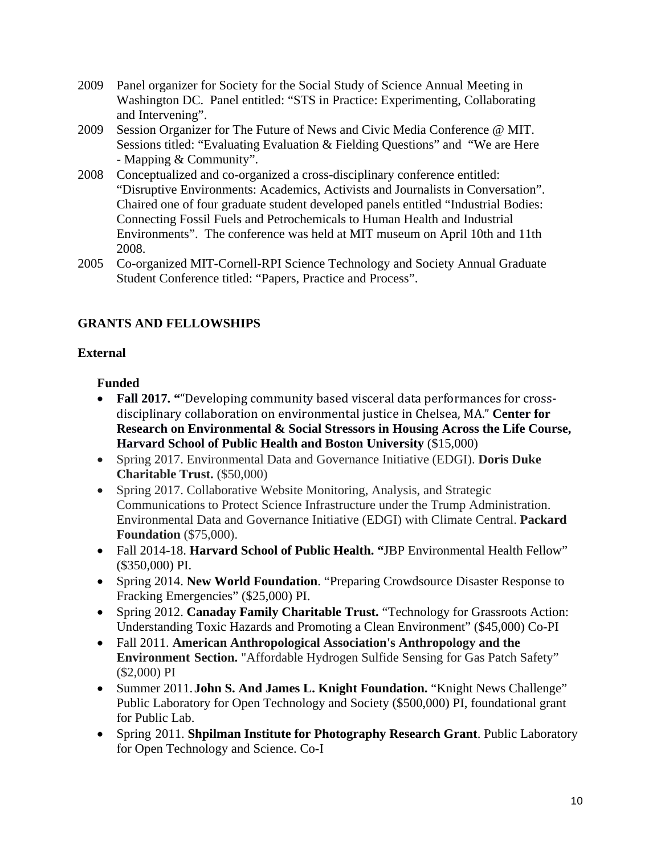- 2009 Panel organizer for Society for the Social Study of Science Annual Meeting in Washington DC. Panel entitled: "STS in Practice: Experimenting, Collaborating and Intervening".
- 2009 Session Organizer for The Future of News and Civic Media Conference @ MIT. Sessions titled: "Evaluating Evaluation & Fielding Questions" and "We are Here - Mapping & Community".
- 2008 Conceptualized and co-organized a cross-disciplinary conference entitled: "Disruptive Environments: Academics, Activists and Journalists in Conversation". Chaired one of four graduate student developed panels entitled "Industrial Bodies: Connecting Fossil Fuels and Petrochemicals to Human Health and Industrial Environments". The conference was held at MIT museum on April 10th and 11th 2008.
- 2005 Co-organized MIT-Cornell-RPI Science Technology and Society Annual Graduate Student Conference titled: "Papers, Practice and Process".

# **GRANTS AND FELLOWSHIPS**

## **External**

# **Funded**

- Fall 2017. ""Developing community based visceral data performances for crossdisciplinary collaboration on environmental justice in Chelsea, MA." Center for **Research on Environmental & Social Stressors in Housing Across the Life Course, Harvard School of Public Health and Boston University** (\$15,000)
- Spring 2017. Environmental Data and Governance Initiative (EDGI). **Doris Duke Charitable Trust.** (\$50,000)
- Spring 2017. Collaborative Website Monitoring, Analysis, and Strategic Communications to Protect Science Infrastructure under the Trump Administration. Environmental Data and Governance Initiative (EDGI) with Climate Central. **Packard Foundation** (\$75,000).
- Fall 2014-18. **Harvard School of Public Health. "**JBP Environmental Health Fellow" (\$350,000) PI.
- Spring 2014. **New World Foundation**. "Preparing Crowdsource Disaster Response to Fracking Emergencies" (\$25,000) PI.
- Spring 2012. **Canaday Family Charitable Trust.** "Technology for Grassroots Action: Understanding Toxic Hazards and Promoting a Clean Environment" (\$45,000) Co-PI
- Fall 2011. **American Anthropological Association's Anthropology and the Environment Section.** "Affordable Hydrogen Sulfide Sensing for Gas Patch Safety" (\$2,000) PI
- Summer 2011. **John S. And James L. Knight Foundation.** "Knight News Challenge" Public Laboratory for Open Technology and Society (\$500,000) PI, foundational grant for Public Lab.
- Spring 2011. **Shpilman Institute for Photography Research Grant**. Public Laboratory for Open Technology and Science. Co-I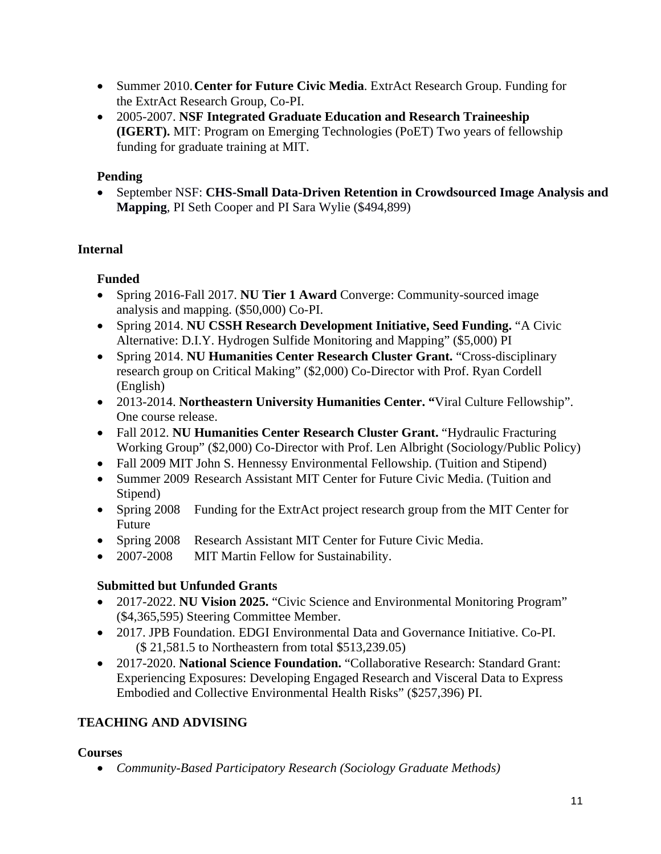- Summer 2010. **Center for Future Civic Media**. ExtrAct Research Group. Funding for the ExtrAct Research Group, Co-PI.
- 2005-2007. **NSF Integrated Graduate Education and Research Traineeship (IGERT).** MIT: Program on Emerging Technologies (PoET) Two years of fellowship funding for graduate training at MIT.

# **Pending**

 September NSF: **CHS-Small Data-Driven Retention in Crowdsourced Image Analysis and Mapping**, PI Seth Cooper and PI Sara Wylie (\$494,899)

# **Internal**

# **Funded**

- Spring 2016-Fall 2017. **NU Tier 1 Award** Converge: Community-sourced image analysis and mapping. (\$50,000) Co-PI.
- Spring 2014. **NU CSSH Research Development Initiative, Seed Funding.** "A Civic Alternative: D.I.Y. Hydrogen Sulfide Monitoring and Mapping" (\$5,000) PI
- Spring 2014. **NU Humanities Center Research Cluster Grant.** "Cross-disciplinary research group on Critical Making" (\$2,000) Co-Director with Prof. Ryan Cordell (English)
- 2013-2014. **Northeastern University Humanities Center. "**Viral Culture Fellowship". One course release.
- Fall 2012. **NU Humanities Center Research Cluster Grant.** "Hydraulic Fracturing Working Group" (\$2,000) Co-Director with Prof. Len Albright (Sociology/Public Policy)
- Fall 2009 MIT John S. Hennessy Environmental Fellowship. (Tuition and Stipend)
- Summer 2009 Research Assistant MIT Center for Future Civic Media. (Tuition and Stipend)
- Spring 2008 Funding for the ExtrAct project research group from the MIT Center for Future
- Spring 2008 Research Assistant MIT Center for Future Civic Media.
- 2007-2008 MIT Martin Fellow for Sustainability.

# **Submitted but Unfunded Grants**

- 2017-2022. **NU Vision 2025.** "Civic Science and Environmental Monitoring Program" (\$4,365,595) Steering Committee Member.
- 2017. JPB Foundation. EDGI Environmental Data and Governance Initiative. Co-PI. (\$ 21,581.5 to Northeastern from total \$513,239.05)
- 2017-2020. **National Science Foundation.** "Collaborative Research: Standard Grant: Experiencing Exposures: Developing Engaged Research and Visceral Data to Express Embodied and Collective Environmental Health Risks" (\$257,396) PI.

# **TEACHING AND ADVISING**

## **Courses**

*Community-Based Participatory Research (Sociology Graduate Methods)*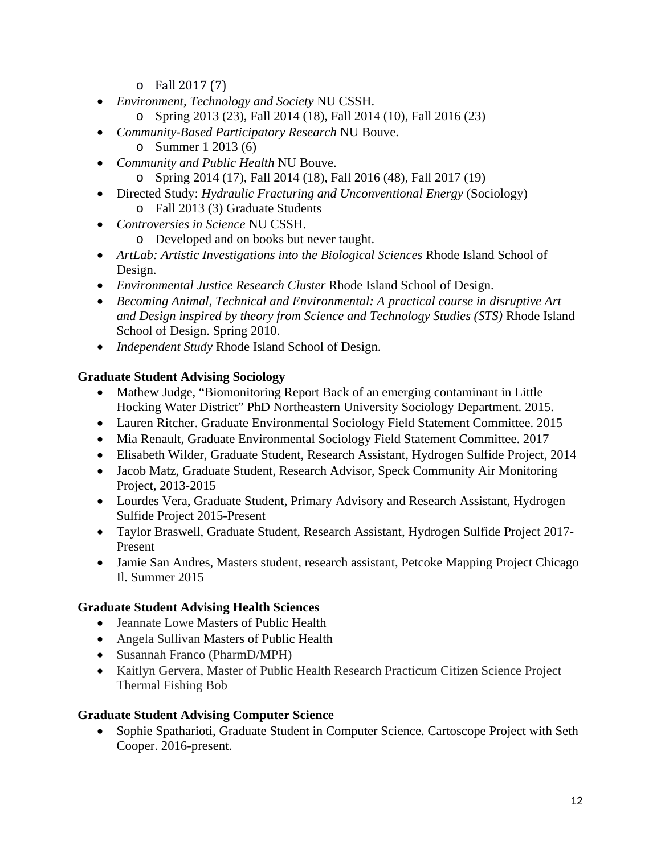- $\circ$  Fall 2017 $(7)$
- *Environment, Technology and Society* NU CSSH.
	- o Spring 2013 (23), Fall 2014 (18), Fall 2014 (10), Fall 2016 (23)
- *Community-Based Participatory Research* NU Bouve.
	- o Summer 1 2013 (6)
- *Community and Public Health* NU Bouve.
	- o Spring 2014 (17), Fall 2014 (18), Fall 2016 (48), Fall 2017 (19)
- Directed Study: *Hydraulic Fracturing and Unconventional Energy* (Sociology) o Fall 2013 (3) Graduate Students
- *Controversies in Science* NU CSSH.
	- o Developed and on books but never taught.
- *ArtLab: Artistic Investigations into the Biological Sciences* Rhode Island School of Design.
- *Environmental Justice Research Cluster* Rhode Island School of Design.
- *Becoming Animal, Technical and Environmental: A practical course in disruptive Art and Design inspired by theory from Science and Technology Studies (STS)* Rhode Island School of Design. Spring 2010.
- *Independent Study* Rhode Island School of Design.

## **Graduate Student Advising Sociology**

- Mathew Judge, "Biomonitoring Report Back of an emerging contaminant in Little Hocking Water District" PhD Northeastern University Sociology Department. 2015.
- Lauren Ritcher. Graduate Environmental Sociology Field Statement Committee. 2015
- Mia Renault, Graduate Environmental Sociology Field Statement Committee. 2017
- Elisabeth Wilder, Graduate Student, Research Assistant, Hydrogen Sulfide Project, 2014
- Jacob Matz, Graduate Student, Research Advisor, Speck Community Air Monitoring Project, 2013-2015
- Lourdes Vera, Graduate Student, Primary Advisory and Research Assistant, Hydrogen Sulfide Project 2015-Present
- Taylor Braswell, Graduate Student, Research Assistant, Hydrogen Sulfide Project 2017- Present
- Jamie San Andres, Masters student, research assistant, Petcoke Mapping Project Chicago Il. Summer 2015

## **Graduate Student Advising Health Sciences**

- Jeannate Lowe Masters of Public Health
- Angela Sullivan Masters of Public Health
- Susannah Franco (PharmD/MPH)
- Kaitlyn Gervera, Master of Public Health Research Practicum Citizen Science Project Thermal Fishing Bob

## **Graduate Student Advising Computer Science**

• Sophie Spatharioti, Graduate Student in Computer Science. Cartoscope Project with Seth Cooper. 2016-present.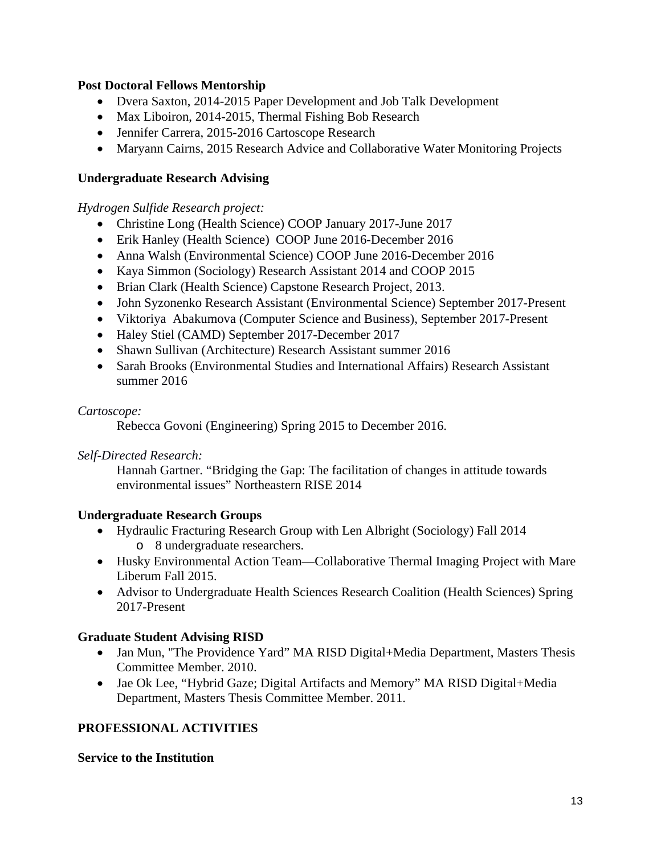### **Post Doctoral Fellows Mentorship**

- Dvera Saxton, 2014-2015 Paper Development and Job Talk Development
- Max Liboiron, 2014-2015, Thermal Fishing Bob Research
- Jennifer Carrera, 2015-2016 Cartoscope Research
- Maryann Cairns, 2015 Research Advice and Collaborative Water Monitoring Projects

### **Undergraduate Research Advising**

*Hydrogen Sulfide Research project:* 

- Christine Long (Health Science) COOP January 2017-June 2017
- Erik Hanley (Health Science) COOP June 2016-December 2016
- Anna Walsh (Environmental Science) COOP June 2016-December 2016
- Kaya Simmon (Sociology) Research Assistant 2014 and COOP 2015
- Brian Clark (Health Science) Capstone Research Project, 2013.
- John Syzonenko Research Assistant (Environmental Science) September 2017-Present
- Viktoriya Abakumova (Computer Science and Business), September 2017-Present
- Haley Stiel (CAMD) September 2017-December 2017
- Shawn Sullivan (Architecture) Research Assistant summer 2016
- Sarah Brooks (Environmental Studies and International Affairs) Research Assistant summer 2016

### *Cartoscope:*

Rebecca Govoni (Engineering) Spring 2015 to December 2016.

### *Self-Directed Research:*

Hannah Gartner. "Bridging the Gap: The facilitation of changes in attitude towards environmental issues" Northeastern RISE 2014

### **Undergraduate Research Groups**

- Hydraulic Fracturing Research Group with Len Albright (Sociology) Fall 2014 o 8 undergraduate researchers.
- Husky Environmental Action Team—Collaborative Thermal Imaging Project with Mare Liberum Fall 2015.
- Advisor to Undergraduate Health Sciences Research Coalition (Health Sciences) Spring 2017-Present

## **Graduate Student Advising RISD**

- Jan Mun, "The Providence Yard" MA RISD Digital+Media Department, Masters Thesis Committee Member. 2010.
- Jae Ok Lee, "Hybrid Gaze; Digital Artifacts and Memory" MA RISD Digital+Media Department, Masters Thesis Committee Member. 2011.

## **PROFESSIONAL ACTIVITIES**

### **Service to the Institution**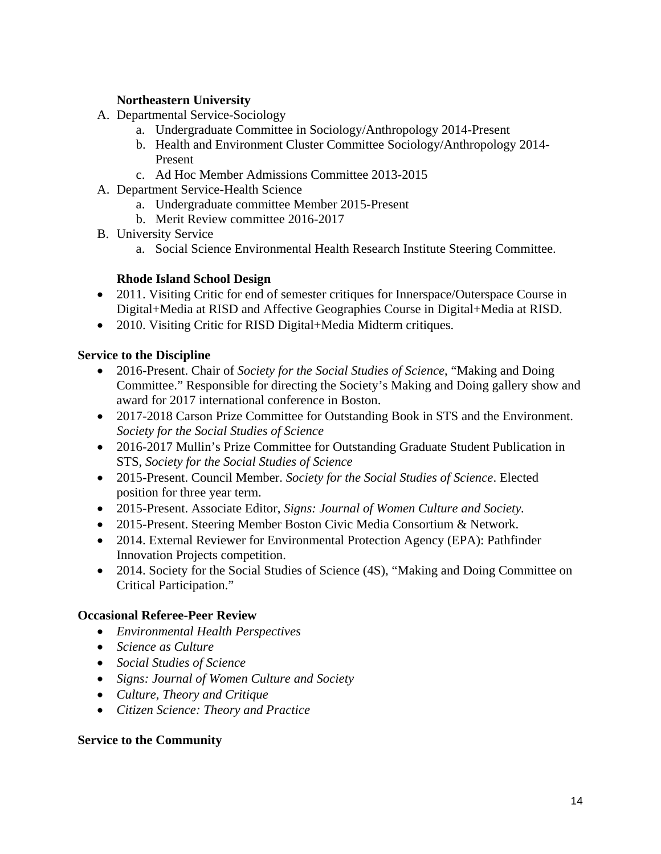## **Northeastern University**

- A. Departmental Service-Sociology
	- a. Undergraduate Committee in Sociology/Anthropology 2014-Present
	- b. Health and Environment Cluster Committee Sociology/Anthropology 2014- Present
	- c. Ad Hoc Member Admissions Committee 2013-2015
- A. Department Service-Health Science
	- a. Undergraduate committee Member 2015-Present
	- b. Merit Review committee 2016-2017
- B. University Service
	- a. Social Science Environmental Health Research Institute Steering Committee.

## **Rhode Island School Design**

- 2011. Visiting Critic for end of semester critiques for Innerspace/Outerspace Course in Digital+Media at RISD and Affective Geographies Course in Digital+Media at RISD.
- 2010. Visiting Critic for RISD Digital+Media Midterm critiques.

### **Service to the Discipline**

- 2016-Present. Chair of *Society for the Social Studies of Science*, "Making and Doing Committee." Responsible for directing the Society's Making and Doing gallery show and award for 2017 international conference in Boston.
- 2017-2018 Carson Prize Committee for Outstanding Book in STS and the Environment. *Society for the Social Studies of Science*
- 2016-2017 Mullin's Prize Committee for Outstanding Graduate Student Publication in STS, *Society for the Social Studies of Science*
- 2015-Present. Council Member. *Society for the Social Studies of Science*. Elected position for three year term.
- 2015-Present. Associate Editor, *Signs: Journal of Women Culture and Society.*
- 2015-Present. Steering Member Boston Civic Media Consortium & Network.
- 2014. External Reviewer for Environmental Protection Agency (EPA): Pathfinder Innovation Projects competition.
- 2014. Society for the Social Studies of Science (4S), "Making and Doing Committee on Critical Participation."

### **Occasional Referee-Peer Review**

- *Environmental Health Perspectives*
- *Science as Culture*
- *Social Studies of Science*
- *Signs: Journal of Women Culture and Society*
- *Culture, Theory and Critique*
- *Citizen Science: Theory and Practice*

### **Service to the Community**